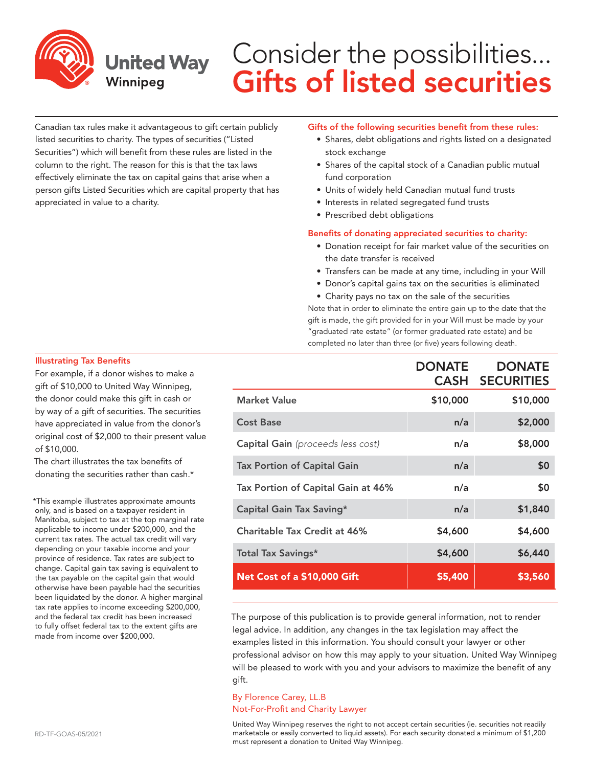

## Consider the possibilities... Gifts of listed securities

Canadian tax rules make it advantageous to gift certain publicly listed securities to charity. The types of securities ("Listed Securities") which will benefit from these rules are listed in the column to the right. The reason for this is that the tax laws effectively eliminate the tax on capital gains that arise when a person gifts Listed Securities which are capital property that has appreciated in value to a charity.

#### Gifts of the following securities benefit from these rules:

- Shares, debt obligations and rights listed on a designated stock exchange
- Shares of the capital stock of a Canadian public mutual fund corporation
- Units of widely held Canadian mutual fund trusts
- Interests in related segregated fund trusts
- Prescribed debt obligations

#### Benefits of donating appreciated securities to charity:

- Donation receipt for fair market value of the securities on the date transfer is received
- Transfers can be made at any time, including in your Will
- Donor's capital gains tax on the securities is eliminated
- Charity pays no tax on the sale of the securities

Note that in order to eliminate the entire gain up to the date that the gift is made, the gift provided for in your Will must be made by your "graduated rate estate" (or former graduated rate estate) and be completed no later than three (or five) years following death.

|                                          | <b>DONATE</b> | <b>DONATE</b><br><b>CASH SECURITIES</b> |
|------------------------------------------|---------------|-----------------------------------------|
| <b>Market Value</b>                      | \$10,000      | \$10,000                                |
| <b>Cost Base</b>                         | n/a           | \$2,000                                 |
| <b>Capital Gain</b> (proceeds less cost) | n/a           | \$8,000                                 |
| <b>Tax Portion of Capital Gain</b>       | n/a           | \$0                                     |
| Tax Portion of Capital Gain at 46%       | n/a           | \$0                                     |
| Capital Gain Tax Saving*                 | n/a           | \$1,840                                 |
| Charitable Tax Credit at 46%             | \$4,600       | \$4,600                                 |
| <b>Total Tax Savings*</b>                | \$4,600       | \$6,440                                 |
| Net Cost of a \$10,000 Gift              | \$5,400       | \$3,560                                 |

The purpose of this publication is to provide general information, not to render legal advice. In addition, any changes in the tax legislation may affect the examples listed in this information. You should consult your lawyer or other professional advisor on how this may apply to your situation. United Way Winnipeg will be pleased to work with you and your advisors to maximize the benefit of any gift.

## By Florence Carey, LL.B Not-For-Profit and Charity Lawyer

United Way Winnipeg reserves the right to not accept certain securities (ie. securities not readily marketable or easily converted to liquid assets). For each security donated a minimum of \$1,200 must represent a donation to United Way Winnipeg.

#### Illustrating Tax Benefits

For example, if a donor wishes to make a gift of \$10,000 to United Way Winnipeg, the donor could make this gift in cash or by way of a gift of securities. The securities have appreciated in value from the donor's original cost of \$2,000 to their present value of \$10,000.

The chart illustrates the tax benefits of donating the securities rather than cash.\*

\*This example illustrates approximate amounts only, and is based on a taxpayer resident in Manitoba, subject to tax at the top marginal rate applicable to income under \$200,000, and the current tax rates. The actual tax credit will vary depending on your taxable income and your province of residence. Tax rates are subject to change. Capital gain tax saving is equivalent to the tax payable on the capital gain that would otherwise have been payable had the securities been liquidated by the donor. A higher marginal tax rate applies to income exceeding \$200,000, and the federal tax credit has been increased to fully offset federal tax to the extent gifts are made from income over \$200,000.